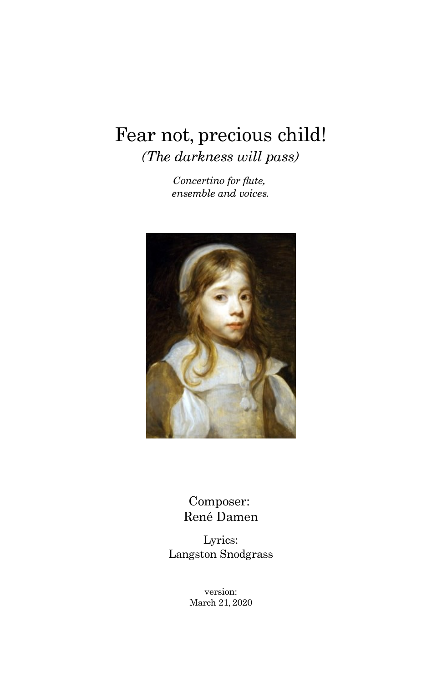## Fear not, precious child! *(The darkness will pass)*

*Concertino for ute, ensemble and voices.*



Composer: René Damen

Lyrics: Langston Snodgrass

> version: March 21, 2020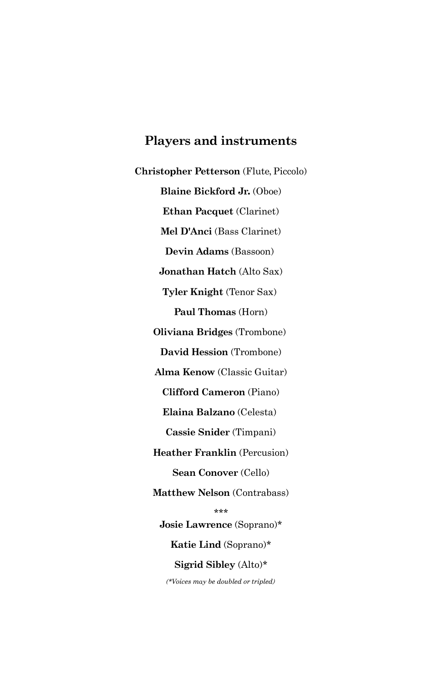## **Players and instruments**

**Christopher Petterson** (Flute, Piccolo) **Blaine Bickford Jr.** (Oboe) **Ethan Pacquet** (Clarinet) **Mel D'Anci** (Bass Clarinet) **Devin Adams** (Bassoon) **Jonathan Hatch** (Alto Sax) **Tyler Knight** (Tenor Sax) **Paul Thomas** (Horn) **Oliviana Bridges** (Trombone) **David Hession** (Trombone) **Alma Kenow** (Classic Guitar) **Clifford Cameron** (Piano) **Elaina Balzano** (Celesta) **Cassie Snider** (Timpani) **Heather Franklin** (Percusion) **Sean Conover** (Cello) **Matthew Nelson** (Contrabass)

**Josie Lawrence** (Soprano)\*

**Katie Lind** (Soprano)\*

**Sigrid Sibley** (Alto)\*

*(\*Voices may be doubled or tripled)*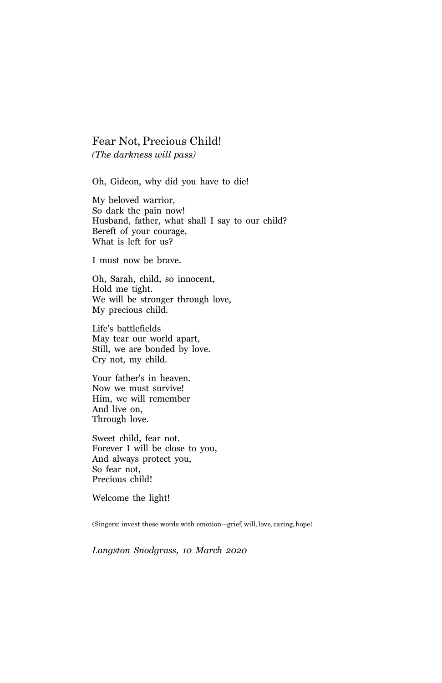## Fear Not, Precious Child!

*(The darkness will pass)*

Oh, Gideon, why did you have to die!

My beloved warrior, So dark the pain now! Husband, father, what shall I say to our child? Bereft of your courage, What is left for us?

I must now be brave.

Oh, Sarah, child, so innocent, Hold me tight. We will be stronger through love, My precious child.

Life's battlefields May tear our world apart, Still, we are bonded by love. Cry not, my child.

Your father's in heaven. Now we must survive! Him, we will remember And live on, Through love.

Sweet child, fear not. Forever I will be close to you, And always protect you, So fear not, Precious child!

Welcome the light!

(Singers: invest these words with emotion---grief, will, love, caring, hope)

*Langston Snodgrass, 10 March 2020*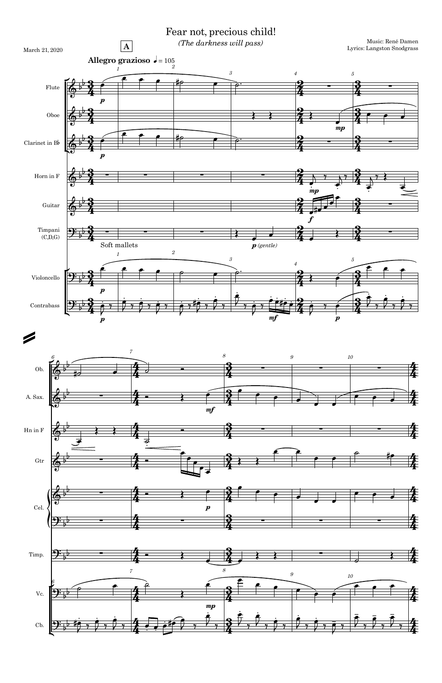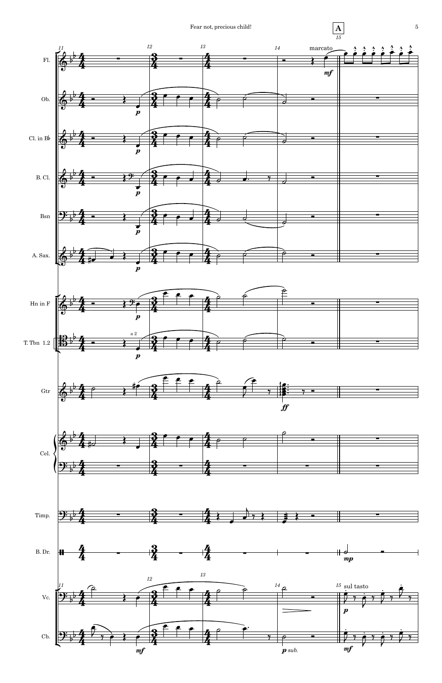



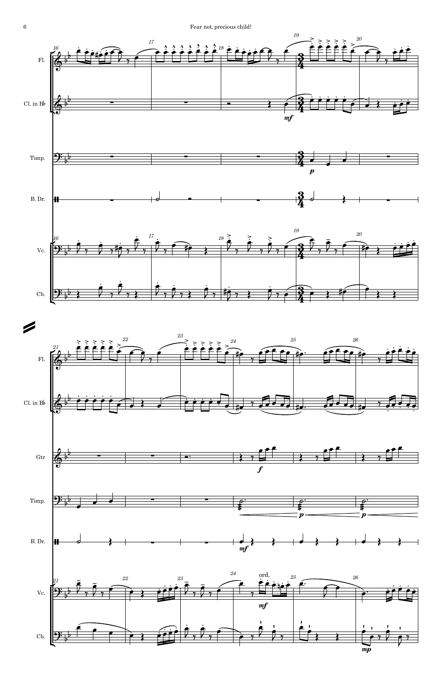

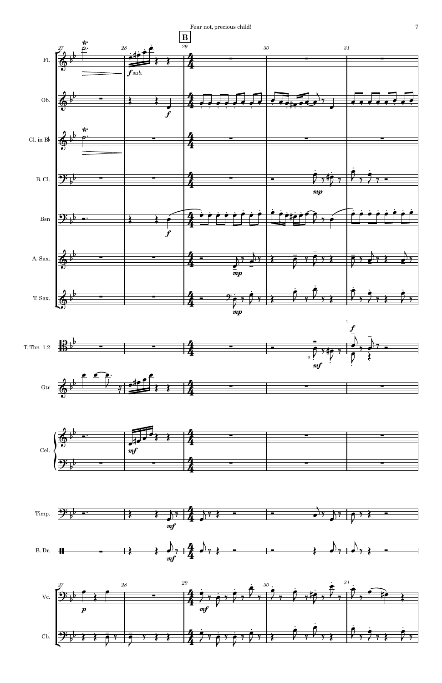

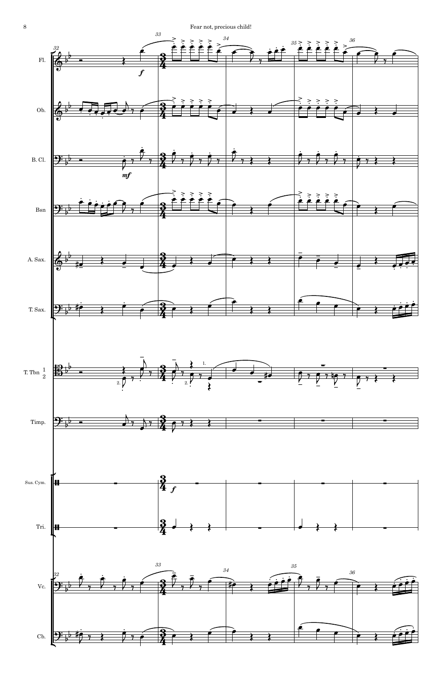

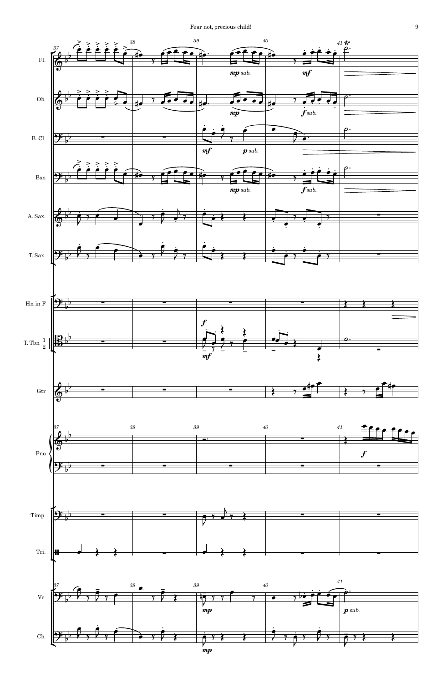

![](_page_8_Figure_3.jpeg)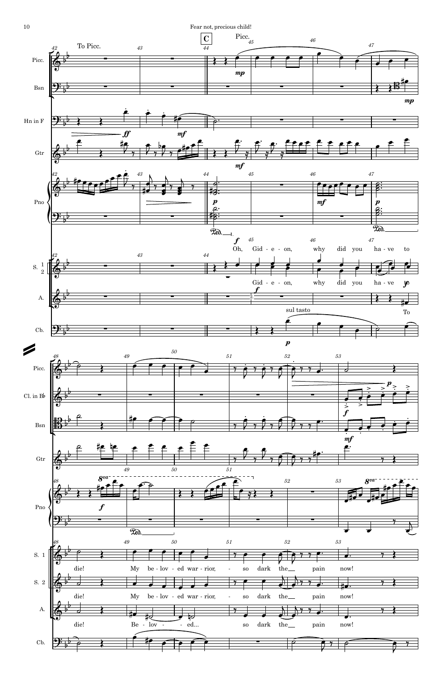![](_page_9_Figure_1.jpeg)

![](_page_9_Figure_0.jpeg)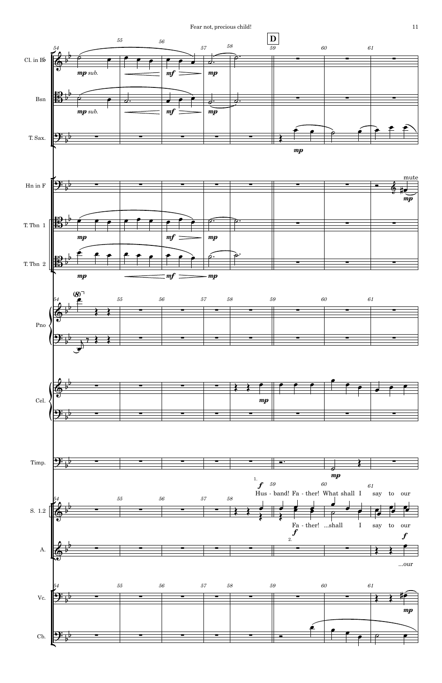![](_page_10_Figure_1.jpeg)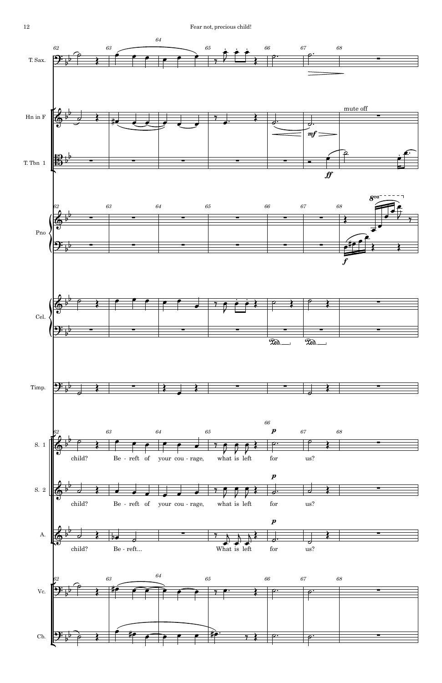![](_page_11_Figure_1.jpeg)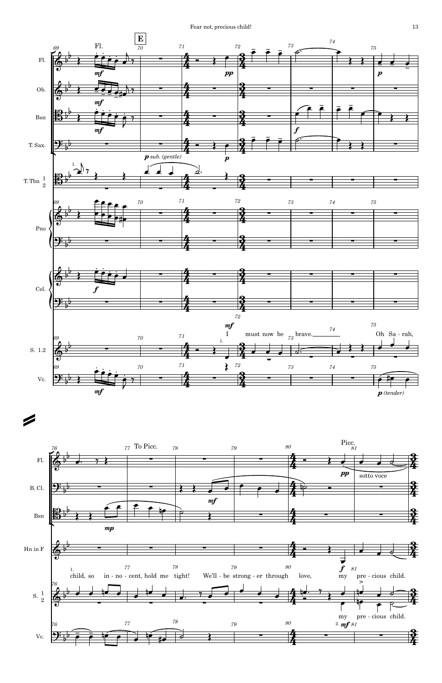![](_page_12_Figure_1.jpeg)

![](_page_12_Figure_2.jpeg)

 $\overline{\phantom{a}}$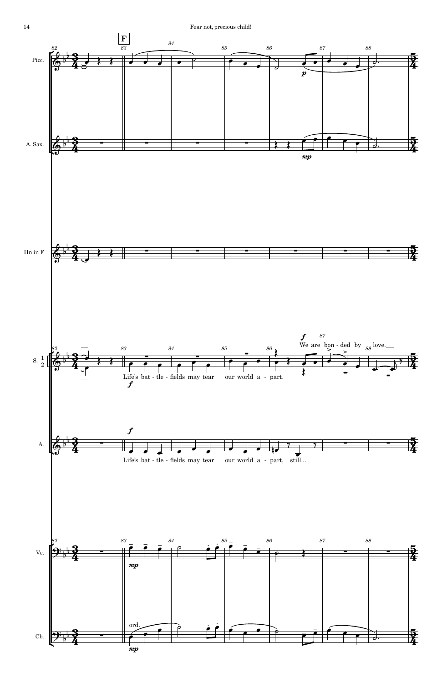![](_page_13_Figure_3.jpeg)

![](_page_13_Figure_1.jpeg)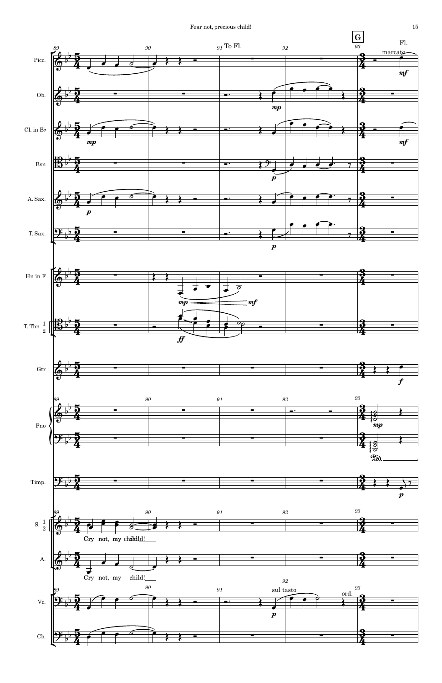![](_page_14_Figure_1.jpeg)

![](_page_14_Figure_3.jpeg)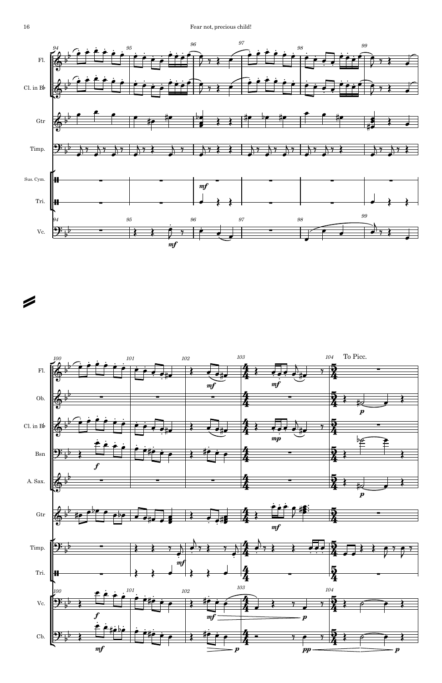## 16 Fear not, precious child!

![](_page_15_Figure_1.jpeg)

![](_page_15_Figure_2.jpeg)

 $\overline{\mathscr{L}}$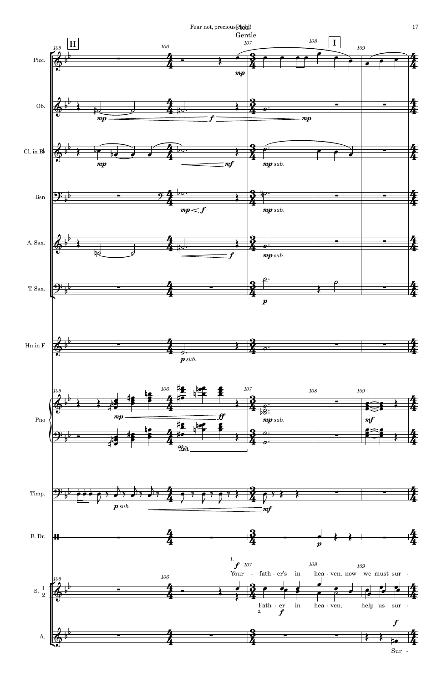![](_page_16_Figure_0.jpeg)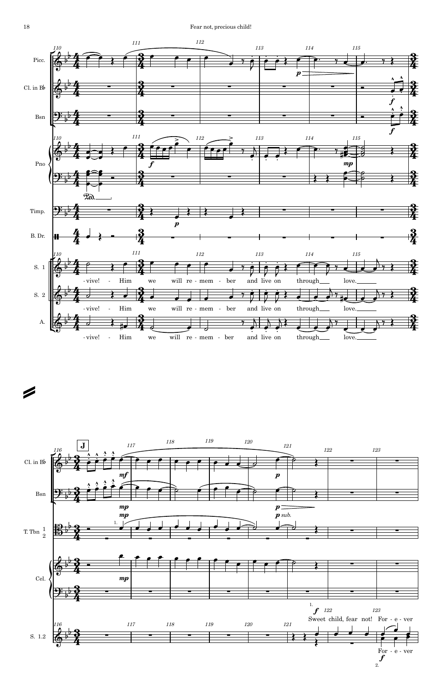![](_page_17_Figure_1.jpeg)

![](_page_17_Figure_2.jpeg)

 $\overline{\phantom{a}}$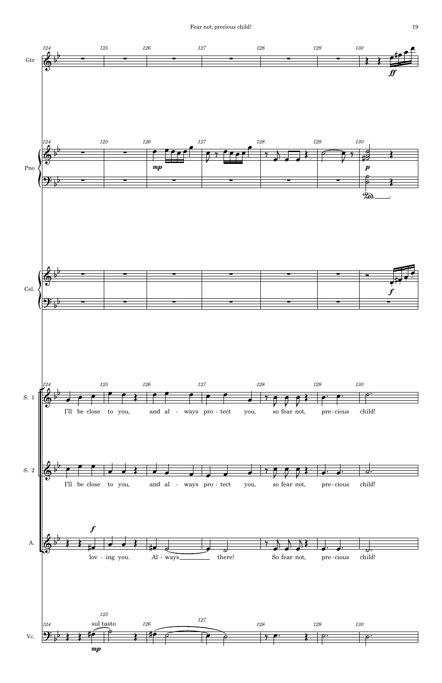![](_page_18_Figure_3.jpeg)

![](_page_18_Figure_1.jpeg)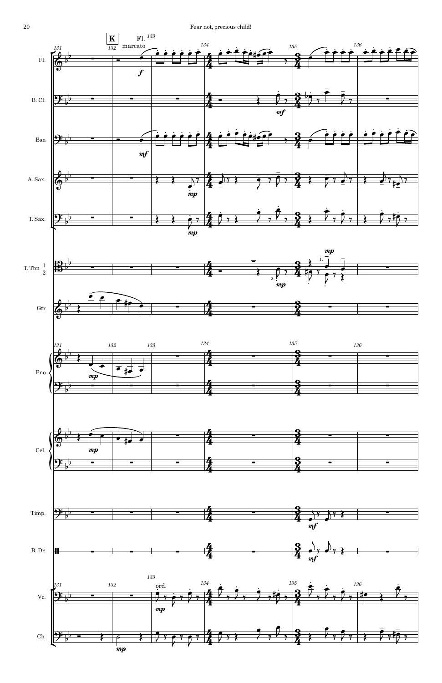![](_page_19_Figure_3.jpeg)

20 Fear not, precious child!

![](_page_19_Figure_1.jpeg)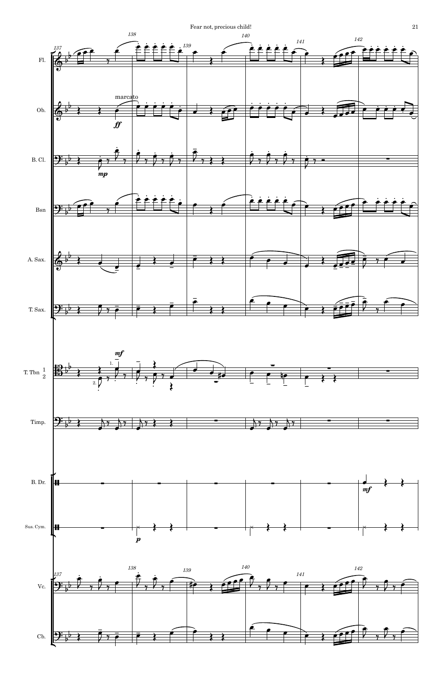![](_page_20_Figure_1.jpeg)

![](_page_20_Figure_3.jpeg)

![](_page_20_Figure_0.jpeg)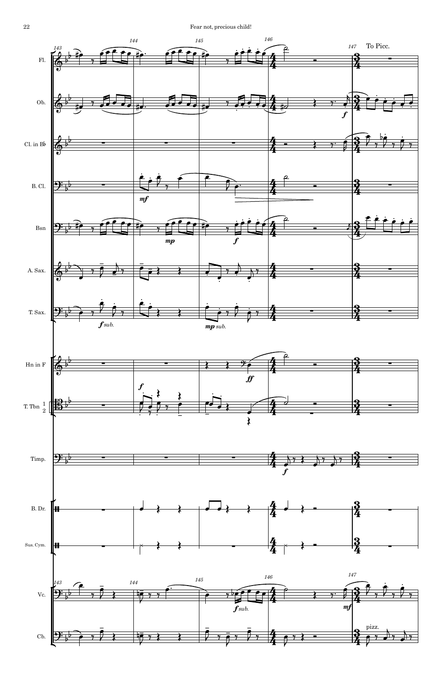![](_page_21_Figure_1.jpeg)

![](_page_21_Figure_3.jpeg)